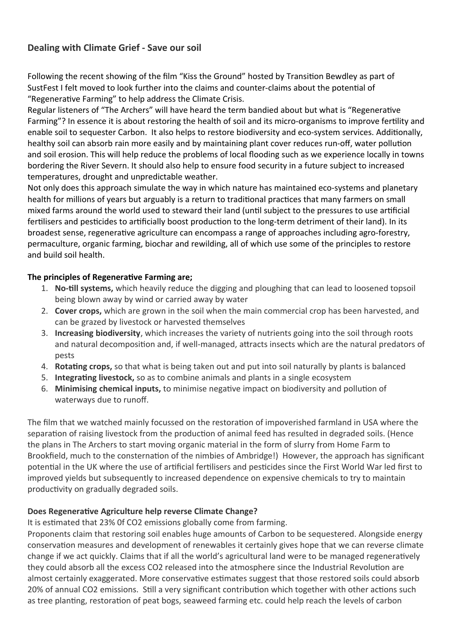# **Dealing with Climate Grief - Save our soil**

Following the recent showing of the film "Kiss the Ground" hosted by Transition Bewdley as part of SustFest I felt moved to look further into the claims and counter-claims about the potential of "Regenerative Farming" to help address the Climate Crisis.

Regular listeners of "The Archers" will have heard the term bandied about but what is "Regenerative Farming"? In essence it is about restoring the health of soil and its micro-organisms to improve fertility and enable soil to sequester Carbon. It also helps to restore biodiversity and eco-system services. Additionally, healthy soil can absorb rain more easily and by maintaining plant cover reduces run-off, water pollution and soil erosion. This will help reduce the problems of local flooding such as we experience locally in towns bordering the River Severn. It should also help to ensure food security in a future subject to increased temperatures, drought and unpredictable weather.

Not only does this approach simulate the way in which nature has maintained eco-systems and planetary health for millions of years but arguably is a return to traditional practices that many farmers on small mixed farms around the world used to steward their land (until subject to the pressures to use artificial fertilisers and pesticides to artificially boost production to the long-term detriment of their land). In its broadest sense, regenerative agriculture can encompass a range of approaches including agro-forestry, permaculture, organic farming, biochar and rewilding, all of which use some of the principles to restore and build soil health.

### **The principles of Regenerative Farming are;**

- 1. **No-till systems,** which heavily reduce the digging and ploughing that can lead to loosened topsoil being blown away by wind or carried away by water
- 2. **Cover crops,** which are grown in the soil when the main commercial crop has been harvested, and can be grazed by livestock or harvested themselves
- 3. **Increasing biodiversity**, which increases the variety of nutrients going into the soil through roots and natural decomposition and, if well-managed, attracts insects which are the natural predators of pests
- 4. **Rotating crops,** so that what is being taken out and put into soil naturally by plants is balanced
- 5. **Integrating livestock,** so as to combine animals and plants in a single ecosystem
- 6. **Minimising chemical inputs,** to minimise negative impact on biodiversity and pollution of waterways due to runoff.

The film that we watched mainly focussed on the restoration of impoverished farmland in USA where the separation of raising livestock from the production of animal feed has resulted in degraded soils. (Hence the plans in The Archers to start moving organic material in the form of slurry from Home Farm to Brookfield, much to the consternation of the nimbies of Ambridge!) However, the approach has significant potential in the UK where the use of artificial fertilisers and pesticides since the First World War led first to improved yields but subsequently to increased dependence on expensive chemicals to try to maintain productivity on gradually degraded soils.

#### **Does Regenerative Agriculture help reverse Climate Change?**

It is estimated that 23% 0f CO2 emissions globally come from farming.

Proponents claim that restoring soil enables huge amounts of Carbon to be sequestered. Alongside energy conservation measures and development of renewables it certainly gives hope that we can reverse climate change if we act quickly. Claims that if all the world's agricultural land were to be managed regeneratively they could absorb all the excess CO2 released into the atmosphere since the Industrial Revolution are almost certainly exaggerated. More conservative estimates suggest that those restored soils could absorb 20% of annual CO2 emissions. Still a very significant contribution which together with other actions such as tree planting, restoration of peat bogs, seaweed farming etc. could help reach the levels of carbon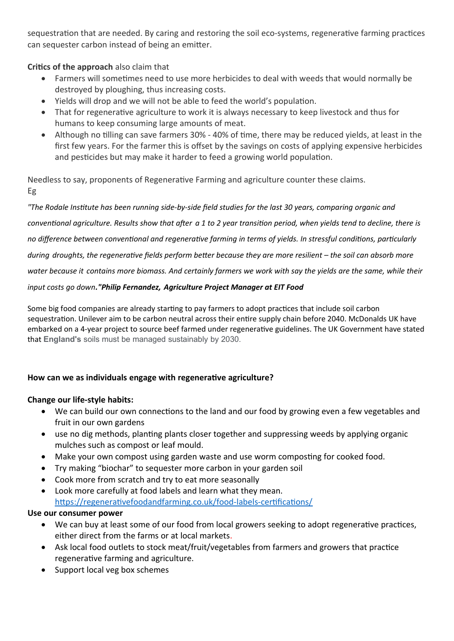sequestration that are needed. By caring and restoring the soil eco-systems, regenerative farming practices can sequester carbon instead of being an emitter.

**Critics of the approach** also claim that

- Farmers will sometimes need to use more herbicides to deal with weeds that would normally be destroyed by ploughing, thus increasing costs.
- Yields will drop and we will not be able to feed the world's population.
- That for regenerative agriculture to work it is always necessary to keep livestock and thus for humans to keep consuming large amounts of meat.
- Although no tilling can save farmers 30% 40% of time, there may be reduced yields, at least in the first few years. For the farmer this is offset by the savings on costs of applying expensive herbicides and pesticides but may make it harder to feed a growing world population.

Needless to say, proponents of Regenerative Farming and agriculture counter these claims. Eg

*"The Rodale Institute has been running side-by-side field studies for the last 30 years, comparing organic and conventional agriculture. Results show that after a 1 to 2 year transition period, when yields tend to decline, there is no difference between conventional and regenerative farming in terms of yields. In stressful conditions, particularly during droughts, the regenerative fields perform better because they are more resilient – the soil can absorb more water because it contains more biomass. And certainly farmers we work with say the yields are the same, while their input costs go down."Philip Fernandez, Agriculture Project Manager at EIT Food*

Some big food companies are already starting to pay farmers to adopt practices that include soil carbon sequestration. Unilever aim to be carbon neutral across their entire supply chain before 2040. McDonalds UK have embarked on a 4-year project to source beef farmed under regenerative guidelines. The UK Government have stated that **England's** soils must be managed sustainably by 2030.

# **How can we as individuals engage with regenerative agriculture?**

#### **Change our life-style habits:**

- We can build our own connections to the land and our food by growing even a few vegetables and fruit in our own gardens
- use no dig methods, planting plants closer together and suppressing weeds by applying organic mulches such as compost or leaf mould.
- Make your own compost using garden waste and use worm composting for cooked food.
- Try making "biochar" to sequester more carbon in your garden soil
- Cook more from scratch and try to eat more seasonally
- Look more carefully at food labels and learn what they mean. <https://regenerativefoodandfarming.co.uk/food-labels-certifications/>

# **Use our consumer power**

- We can buy at least some of our food from local growers seeking to adopt regenerative practices, either direct from the farms or at local markets.
- Ask local food outlets to stock meat/fruit/vegetables from farmers and growers that practice regenerative farming and agriculture.
- Support local veg box schemes